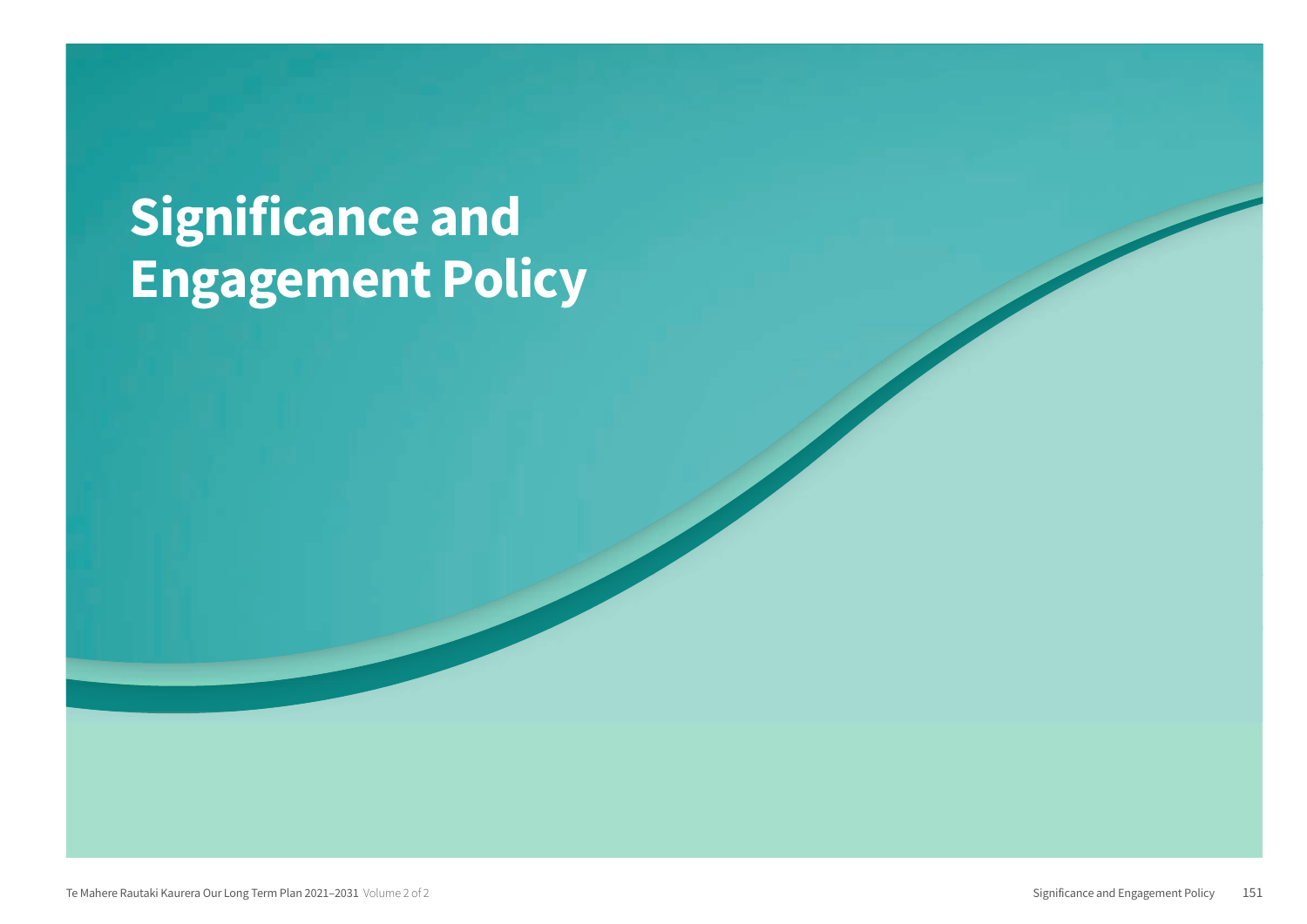# **Significance and<br>Engagement Policy**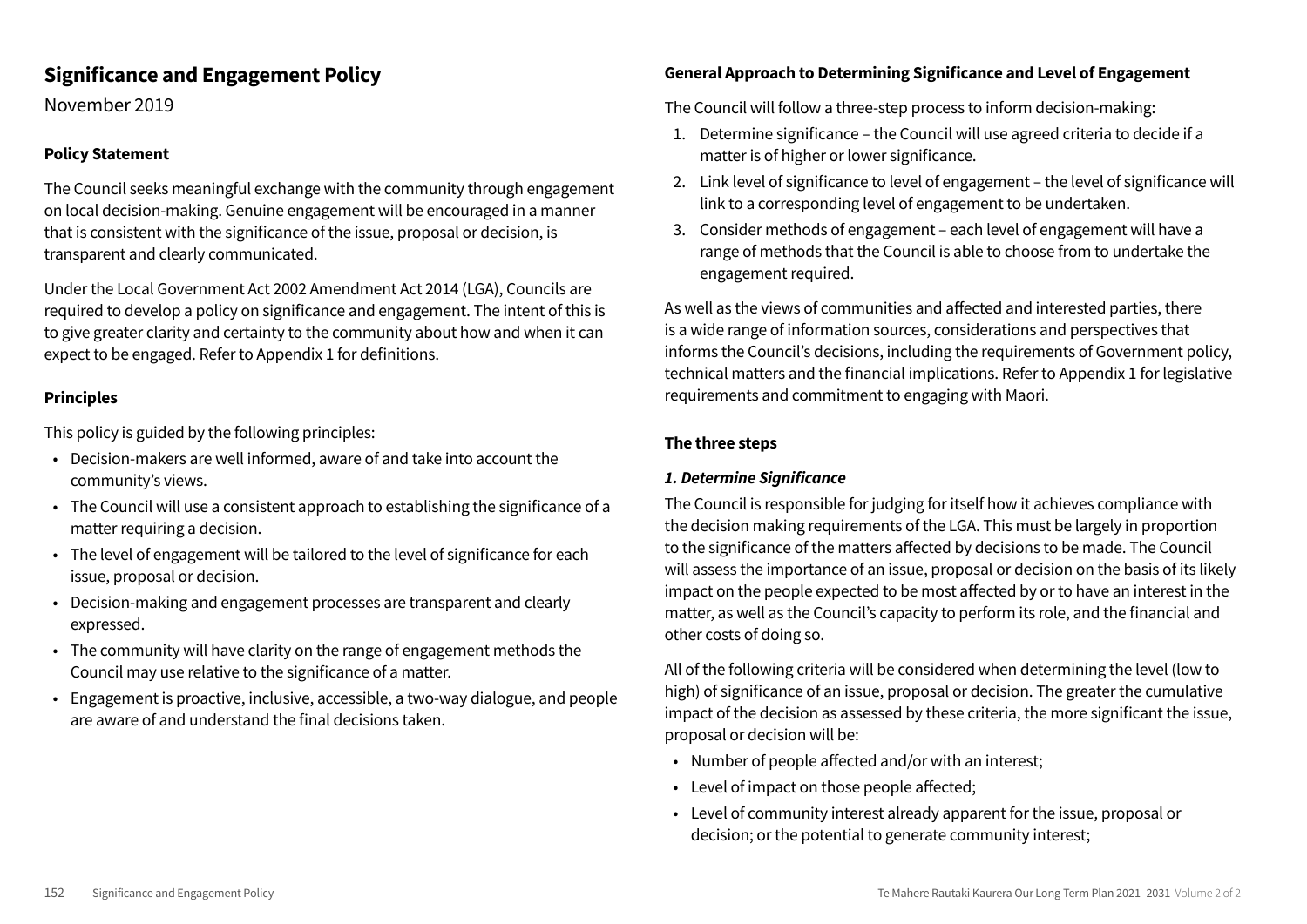#### **Significance and Engagement Policy**

November 2019

#### **Policy Statement**

The Council seeks meaningful exchange with the community through engagement on local decision-making. Genuine engagement will be encouraged in a manner that is consistent with the significance of the issue, proposal or decision, is transparent and clearly communicated.

Under the Local Government Act 2002 Amendment Act 2014 (LGA), Councils are required to develop a policy on significance and engagement. The intent of this is to give greater clarity and certainty to the community about how and when it can expect to be engaged. Refer to Appendix 1 for definitions.

#### **Principles**

This policy is guided by the following principles:

- Decision-makers are well informed, aware of and take into account the community's views.
- The Council will use a consistent approach to establishing the significance of a matter requiring a decision.
- The level of engagement will be tailored to the level of significance for each issue, proposal or decision.
- Decision-making and engagement processes are transparent and clearly expressed.
- The community will have clarity on the range of engagement methods the Council may use relative to the significance of a matter.
- Engagement is proactive, inclusive, accessible, a two-way dialogue, and people are aware of and understand the final decisions taken.

#### **General Approach to Determining Significance and Level of Engagement**

The Council will follow a three-step process to inform decision-making:

- 1. Determine significance the Council will use agreed criteria to decide if a matter is of higher or lower significance.
- 2. Link level of significance to level of engagement the level of significance will link to a corresponding level of engagement to be undertaken.
- 3. Consider methods of engagement each level of engagement will have a range of methods that the Council is able to choose from to undertake the engagement required.

As well as the views of communities and affected and interested parties, there is a wide range of information sources, considerations and perspectives that informs the Council's decisions, including the requirements of Government policy, technical matters and the financial implications. Refer to Appendix 1 for legislative requirements and commitment to engaging with Maori.

#### The three steps

#### 1. Determine Sianificance

The Council is responsible for judging for itself how it achieves compliance with the decision making requirements of the LGA. This must be largely in proportion to the significance of the matters affected by decisions to be made. The Council will assess the importance of an issue, proposal or decision on the basis of its likely impact on the people expected to be most affected by or to have an interest in the matter, as well as the Council's capacity to perform its role, and the financial and other costs of doing so.

All of the following criteria will be considered when determining the level (low to high) of significance of an issue, proposal or decision. The greater the cumulative impact of the decision as assessed by these criteria, the more significant the issue, proposal or decision will be:

- Number of people affected and/or with an interest;
- Level of impact on those people affected;
- Level of community interest already apparent for the issue, proposal or decision; or the potential to generate community interest;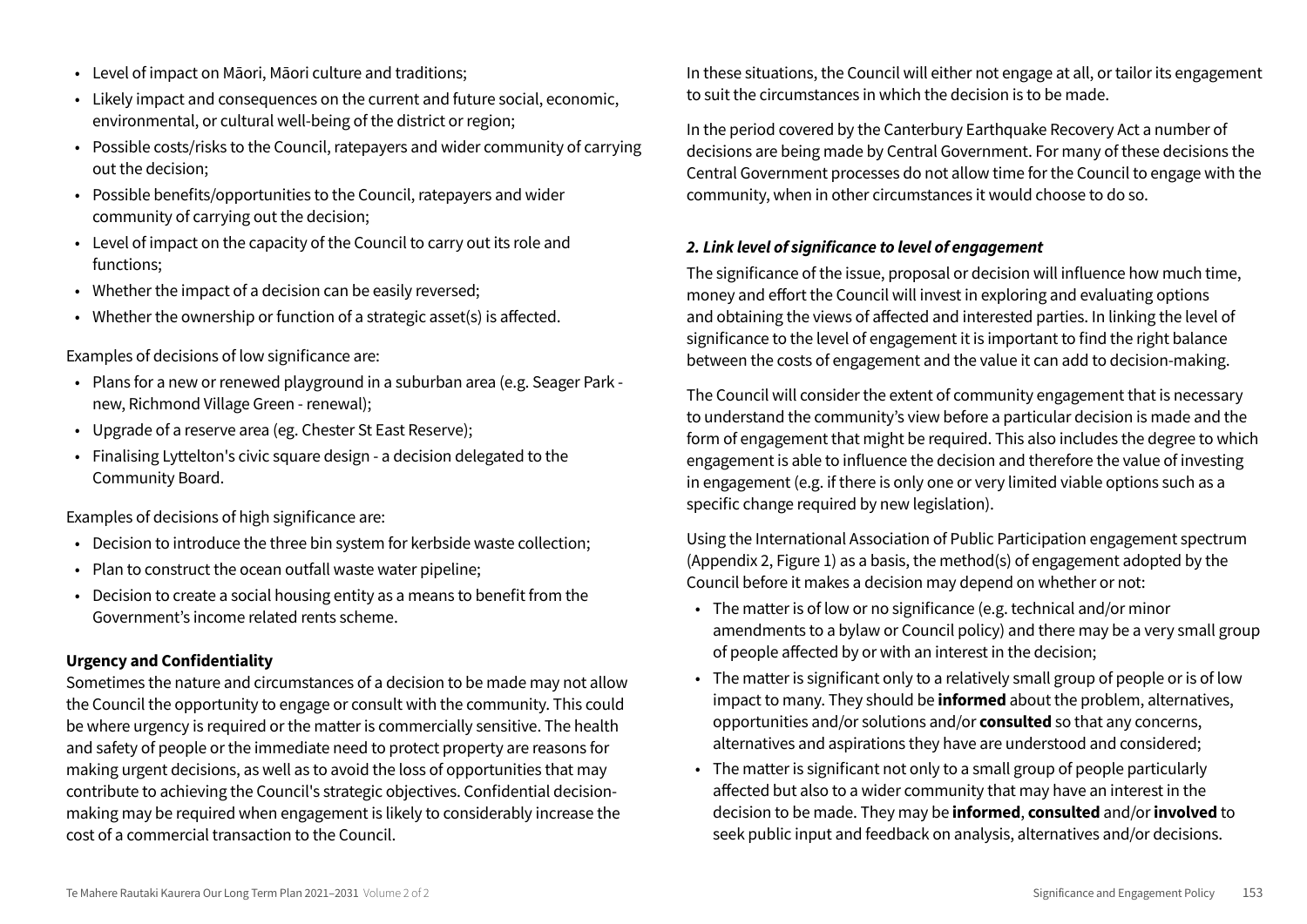- Level of impact on Māori, Māori culture and traditions;
- Likely impact and consequences on the current and future social, economic, environmental, or cultural well-being of the district or region;
- Possible costs/risks to the Council, ratepayers and wider community of carrying out the decision:
- Possible benefits/opportunities to the Council, ratepayers and wider community of carrying out the decision;
- Level of impact on the capacity of the Council to carry out its role and functions:
- Whether the impact of a decision can be easily reversed;
- Whether the ownership or function of a strategic asset(s) is affected.

Examples of decisions of low significance are:

- · Plans for a new or renewed playground in a suburban area (e.g. Seager Park new, Richmond Village Green - renewal);
- Upgrade of a reserve area (eg. Chester St East Reserve);
- Finalising Lyttelton's civic square design a decision delegated to the Community Board.

Examples of decisions of high significance are:

- Decision to introduce the three bin system for kerbside waste collection;
- . Plan to construct the ocean outfall waste water pipeline:
- Decision to create a social housing entity as a means to benefit from the Government's income related rents scheme

#### **Urgency and Confidentiality**

Sometimes the nature and circumstances of a decision to be made may not allow the Council the opportunity to engage or consult with the community. This could be where urgency is required or the matter is commercially sensitive. The health and safety of people or the immediate need to protect property are reasons for making urgent decisions, as well as to avoid the loss of opportunities that may contribute to achieving the Council's strategic objectives. Confidential decisionmaking may be required when engagement is likely to considerably increase the cost of a commercial transaction to the Council

In these situations, the Council will either not engage at all, or tailor its engagement to suit the circumstances in which the decision is to be made.

In the period covered by the Canterbury Earthquake Recovery Act a number of decisions are being made by Central Government. For many of these decisions the Central Government processes do not allow time for the Council to engage with the community, when in other circumstances it would choose to do so.

#### 2. Link level of significance to level of engagement

The significance of the issue, proposal or decision will influence how much time, money and effort the Council will invest in exploring and evaluating options and obtaining the views of affected and interested parties. In linking the level of significance to the level of engagement it is important to find the right balance between the costs of engagement and the value it can add to decision-making.

The Council will consider the extent of community engagement that is necessary to understand the community's view before a particular decision is made and the form of engagement that might be required. This also includes the degree to which engagement is able to influence the decision and therefore the value of investing in engagement (e.g. if there is only one or very limited viable options such as a specific change required by new legislation).

Using the International Association of Public Participation engagement spectrum (Appendix 2, Figure 1) as a basis, the method(s) of engagement adopted by the Council before it makes a decision may depend on whether or not:

- The matter is of low or no significance (e.g. technical and/or minor amendments to a bylaw or Council policy) and there may be a very small group of people affected by or with an interest in the decision;
- The matter is significant only to a relatively small group of people or is of low impact to many. They should be **informed** about the problem, alternatives, opportunities and/or solutions and/or **consulted** so that any concerns, alternatives and aspirations they have are understood and considered;
- The matter is significant not only to a small group of people particularly affected but also to a wider community that may have an interest in the decision to be made. They may be **informed**, consulted and/or involved to seek public input and feedback on analysis, alternatives and/or decisions.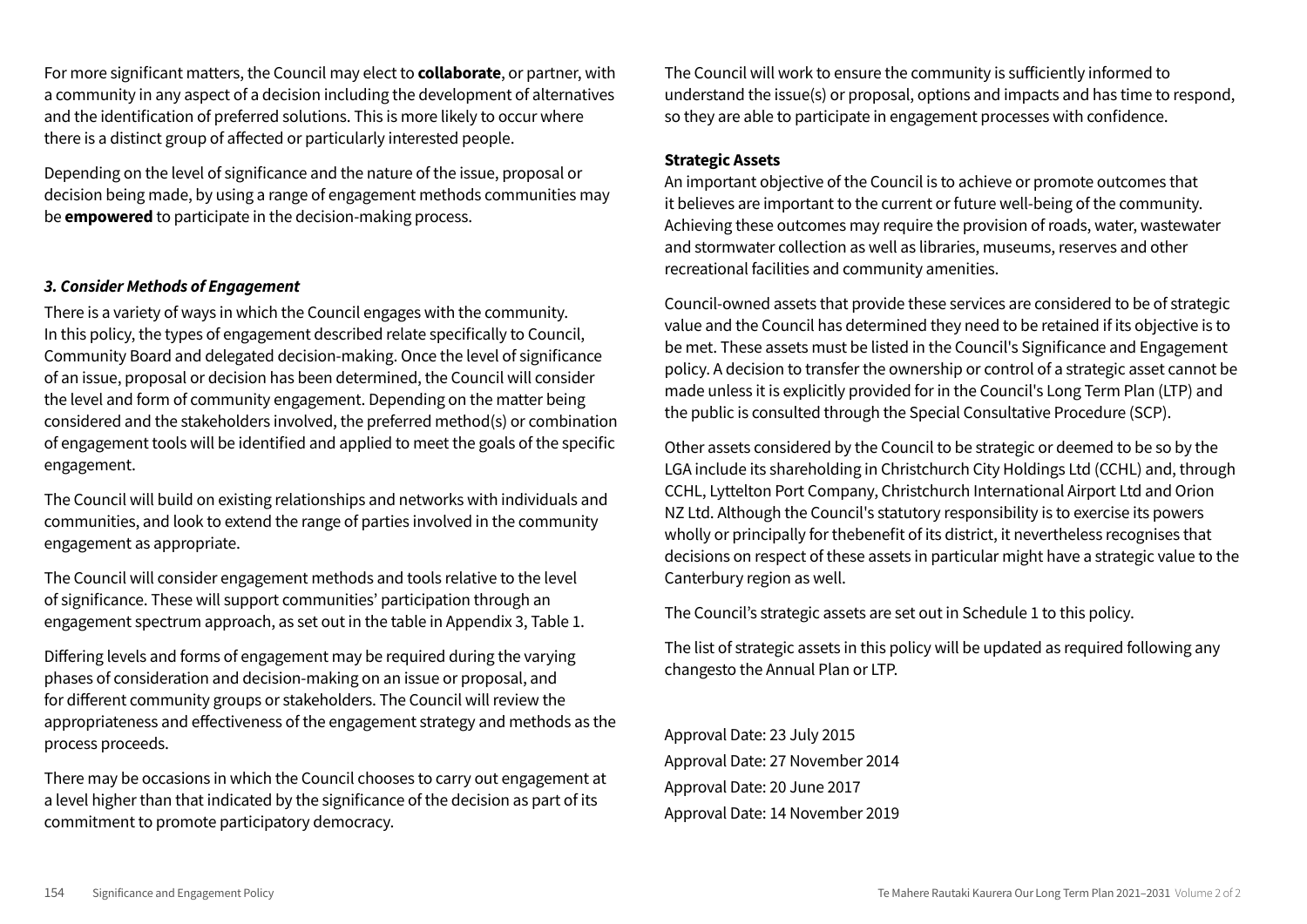For more significant matters, the Council may elect to **collaborate**, or partner, with a community in any aspect of a decision including the development of alternatives and the identification of preferred solutions. This is more likely to occur where there is a distinct group of affected or particularly interested people.

Depending on the level of significance and the nature of the issue, proposal or decision being made, by using a range of engagement methods communities may be **empowered** to participate in the decision-making process.

#### 3. Consider Methods of Engagement

There is a variety of ways in which the Council engages with the community. In this policy, the types of engagement described relate specifically to Council, Community Board and delegated decision-making. Once the level of significance of an issue, proposal or decision has been determined, the Council will consider the level and form of community engagement. Depending on the matter being considered and the stakeholders involved, the preferred method(s) or combination of engagement tools will be identified and applied to meet the goals of the specific engagement.

The Council will build on existing relationships and networks with individuals and communities, and look to extend the range of parties involved in the community engagement as appropriate.

The Council will consider engagement methods and tools relative to the level of significance. These will support communities' participation through an engagement spectrum approach, as set out in the table in Appendix 3, Table 1.

Differing levels and forms of engagement may be required during the varying phases of consideration and decision-making on an issue or proposal, and for different community groups or stakeholders. The Council will review the appropriateness and effectiveness of the engagement strategy and methods as the process proceeds.

There may be occasions in which the Council chooses to carry out engagement at a level higher than that indicated by the significance of the decision as part of its commitment to promote participatory democracy.

The Council will work to ensure the community is sufficiently informed to understand the issue(s) or proposal, options and impacts and has time to respond, so they are able to participate in engagement processes with confidence.

#### **Strategic Assets**

An important objective of the Council is to achieve or promote outcomes that it believes are important to the current or future well-being of the community. Achieving these outcomes may require the provision of roads, water, wastewater and stormwater collection as well as libraries, museums, reserves and other recreational facilities and community amenities.

Council-owned assets that provide these services are considered to be of strategic value and the Council has determined they need to be retained if its objective is to be met. These assets must be listed in the Council's Significance and Engagement policy. A decision to transfer the ownership or control of a strategic asset cannot be made unless it is explicitly provided for in the Council's Long Term Plan (LTP) and the public is consulted through the Special Consultative Procedure (SCP).

Other assets considered by the Council to be strategic or deemed to be so by the LGA include its shareholding in Christchurch City Holdings Ltd (CCHL) and, through CCHL, Lyttelton Port Company, Christchurch International Airport Ltd and Orion NZ Ltd. Although the Council's statutory responsibility is to exercise its powers wholly or principally for thebenefit of its district, it nevertheless recognises that decisions on respect of these assets in particular might have a strategic value to the Canterbury region as well.

The Council's strategic assets are set out in Schedule 1 to this policy.

The list of strategic assets in this policy will be updated as required following any changesto the Annual Plan or LTP.

Approval Date: 23 July 2015 Approval Date: 27 November 2014 Approval Date: 20 June 2017 Approval Date: 14 November 2019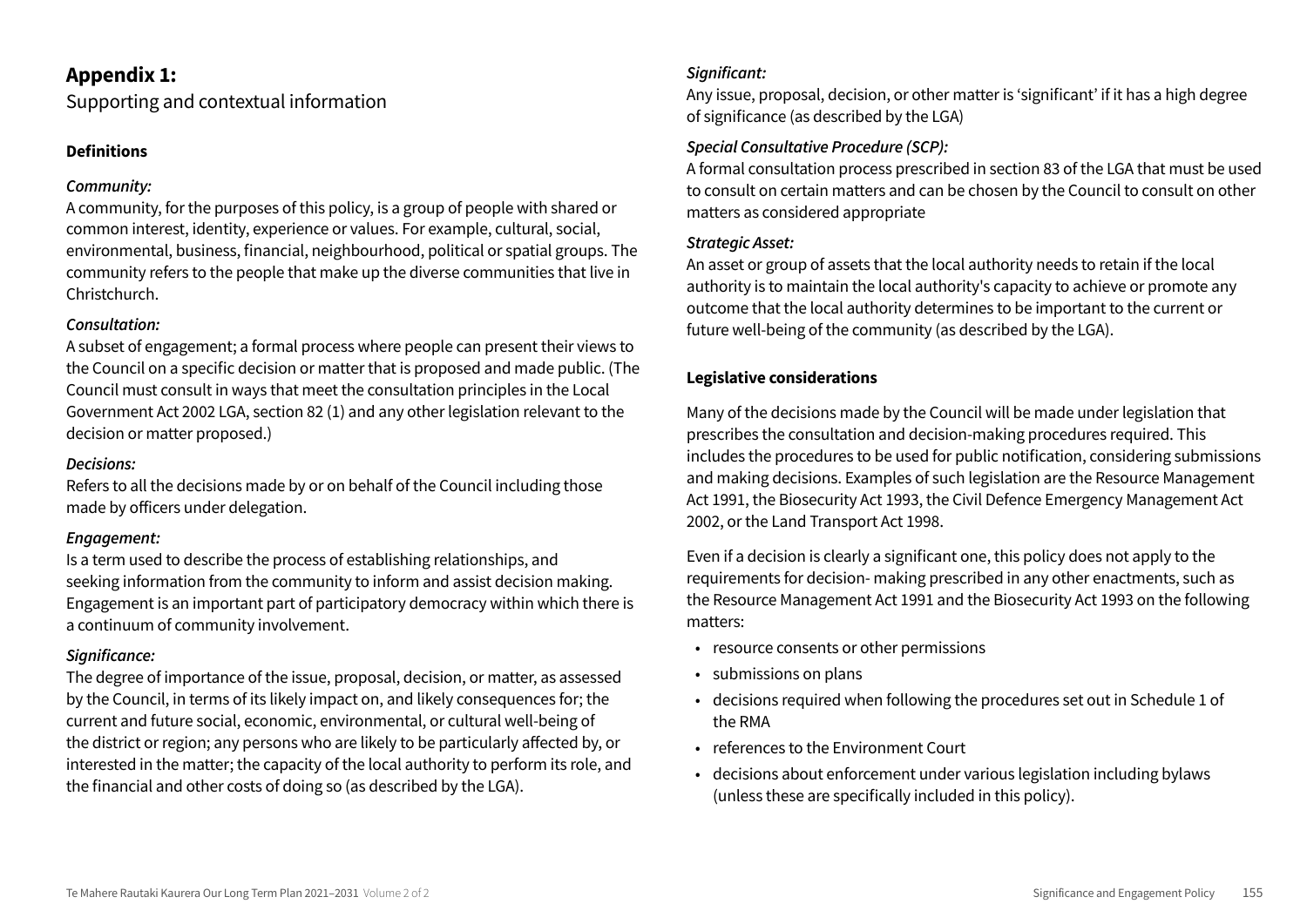#### **Appendix 1:**

Supporting and contextual information

#### **Definitions**

#### Community:

A community, for the purposes of this policy, is a group of people with shared or common interest, identity, experience or values. For example, cultural, social, environmental, business, financial, neighbourhood, political or spatial groups. The community refers to the people that make up the diverse communities that live in Christchurch.

#### Consultation:

A subset of engagement; a formal process where people can present their views to the Council on a specific decision or matter that is proposed and made public. (The Council must consult in ways that meet the consultation principles in the Local Government Act 2002 LGA, section 82 (1) and any other legislation relevant to the decision or matter proposed.)

#### Decisions:

Refers to all the decisions made by or on behalf of the Council including those made by officers under delegation.

#### Engagement:

Is a term used to describe the process of establishing relationships, and seeking information from the community to inform and assist decision making. Engagement is an important part of participatory democracy within which there is a continuum of community involvement.

#### Significance:

The degree of importance of the issue, proposal, decision, or matter, as assessed by the Council, in terms of its likely impact on, and likely consequences for; the current and future social, economic, environmental, or cultural well-being of the district or region; any persons who are likely to be particularly affected by, or interested in the matter; the capacity of the local authority to perform its role, and the financial and other costs of doing so (as described by the LGA).

#### Sianificant:

Any issue, proposal, decision, or other matter is 'significant' if it has a high degree of significance (as described by the LGA)

#### **Special Consultative Procedure (SCP):**

A formal consultation process prescribed in section 83 of the LGA that must be used to consult on certain matters and can be chosen by the Council to consult on other matters as considered appropriate

#### **Strategic Asset:**

An asset or group of assets that the local authority needs to retain if the local authority is to maintain the local authority's capacity to achieve or promote any outcome that the local authority determines to be important to the current or future well-being of the community (as described by the LGA).

#### **Legislative considerations**

Many of the decisions made by the Council will be made under legislation that prescribes the consultation and decision-making procedures required. This includes the procedures to be used for public notification, considering submissions and making decisions. Examples of such legislation are the Resource Management Act 1991, the Biosecurity Act 1993, the Civil Defence Emergency Management Act 2002, or the Land Transport Act 1998.

Even if a decision is clearly a significant one, this policy does not apply to the requirements for decision- making prescribed in any other enactments, such as the Resource Management Act 1991 and the Biosecurity Act 1993 on the following matters:

- resource consents or other permissions
- · submissions on plans
- decisions required when following the procedures set out in Schedule 1 of the RMA
- references to the Environment Court
- · decisions about enforcement under various legislation including bylaws (unless these are specifically included in this policy).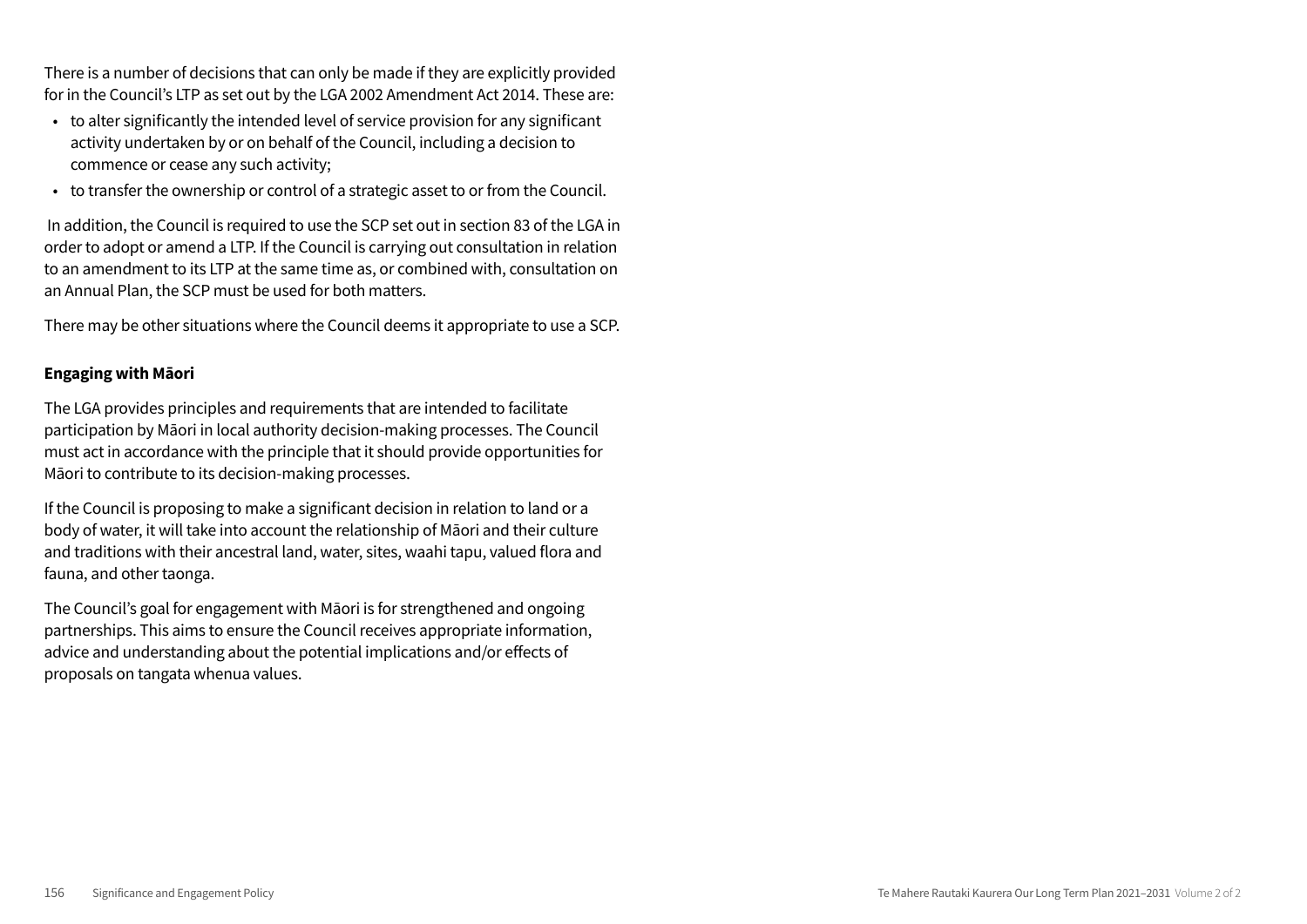There is a number of decisions that can only be made if they are explicitly provided for in the Council's LTP as set out by the LGA 2002 Amendment Act 2014. These are:

- to alter significantly the intended level of service provision for any significant activity undertaken by or on behalf of the Council, including a decision to commence or cease any such activity;
- to transfer the ownership or control of a strategic asset to or from the Council.

In addition, the Council is required to use the SCP set out in section 83 of the LGA in order to adopt or amend a LTP. If the Council is carrying out consultation in relation to an amendment to its LTP at the same time as, or combined with, consultation on an Annual Plan, the SCP must be used for both matters.

There may be other situations where the Council deems it appropriate to use a SCP.

#### **Engaging with Māori**

The LGA provides principles and requirements that are intended to facilitate participation by Māori in local authority decision-making processes. The Council must act in accordance with the principle that it should provide opportunities for Māori to contribute to its decision-making processes.

If the Council is proposing to make a significant decision in relation to land or a body of water, it will take into account the relationship of Māori and their culture and traditions with their ancestral land, water, sites, waahi tapu, valued flora and fauna, and other taonga.

The Council's goal for engagement with Māori is for strengthened and ongoing partnerships. This aims to ensure the Council receives appropriate information, advice and understanding about the potential implications and/or effects of proposals on tangata whenua values.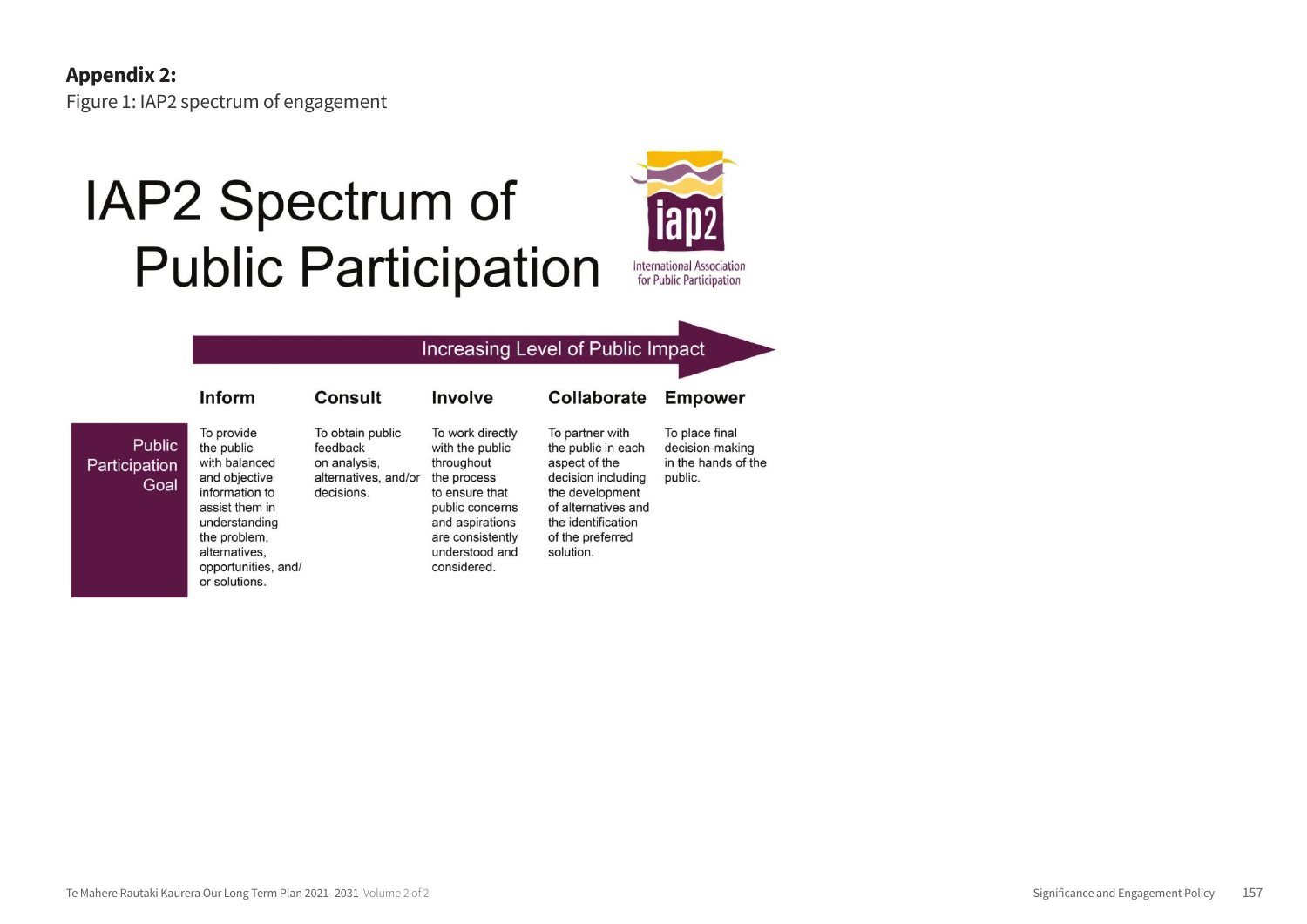Inform

## IAP2 Spectrum of **Public Participation**

**Consult** 



#### Increasing Level of Public Impact

#### Public Participation Goal

To provide the public feedback with balanced and objective information to decisions. assist them in understanding the problem, alternatives,

opportunities, and/

or solutions.

To obtain public To work directly with the public on analysis, throughout alternatives, and/or the process to ensure that public concerns and aspirations are consistently understood and considered.

Involve

To partner with the public in each aspect of the decision including the development of alternatives and the identification of the preferred solution.

Collaborate

To place final decision-making in the hands of the public.

**Empower**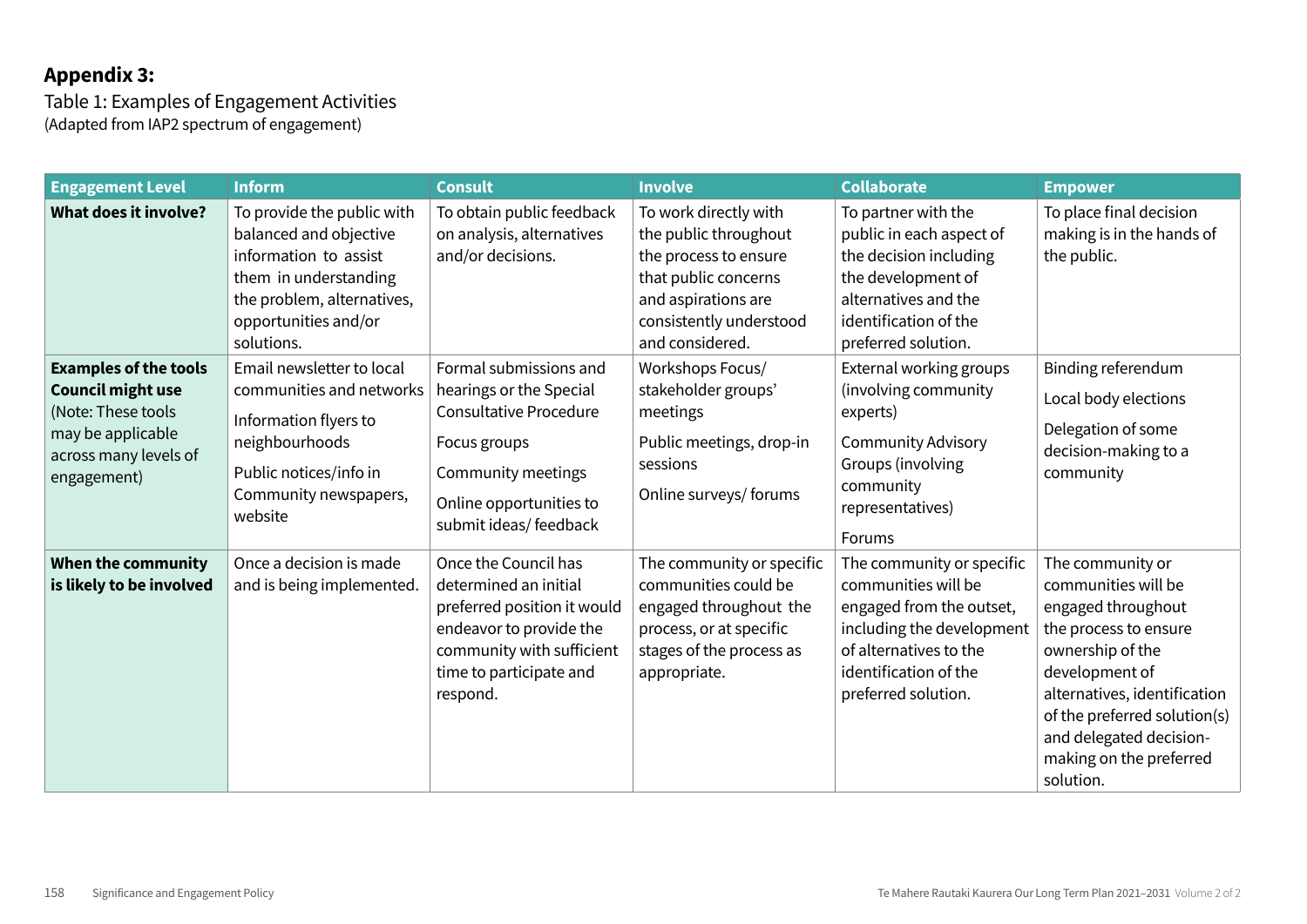### **Appendix 3:**

Table 1: Examples of Engagement Activities (Adapted from IAP2 spectrum of engagement)

| <b>Engagement Level</b>                                                                                                                     | <b>Inform</b>                                                                                                                                                              | <b>Consult</b>                                                                                                                                                                | <b>Involve</b>                                                                                                                                                       | <b>Collaborate</b>                                                                                                                                                                  | <b>Empower</b>                                                                                                                                                                                                                                                  |
|---------------------------------------------------------------------------------------------------------------------------------------------|----------------------------------------------------------------------------------------------------------------------------------------------------------------------------|-------------------------------------------------------------------------------------------------------------------------------------------------------------------------------|----------------------------------------------------------------------------------------------------------------------------------------------------------------------|-------------------------------------------------------------------------------------------------------------------------------------------------------------------------------------|-----------------------------------------------------------------------------------------------------------------------------------------------------------------------------------------------------------------------------------------------------------------|
| <b>What does it involve?</b>                                                                                                                | To provide the public with<br>balanced and objective<br>information to assist<br>them in understanding<br>the problem, alternatives,<br>opportunities and/or<br>solutions. | To obtain public feedback<br>on analysis, alternatives<br>and/or decisions.                                                                                                   | To work directly with<br>the public throughout<br>the process to ensure<br>that public concerns<br>and aspirations are<br>consistently understood<br>and considered. | To partner with the<br>public in each aspect of<br>the decision including<br>the development of<br>alternatives and the<br>identification of the<br>preferred solution.             | To place final decision<br>making is in the hands of<br>the public.                                                                                                                                                                                             |
| <b>Examples of the tools</b><br><b>Council might use</b><br>(Note: These tools<br>may be applicable<br>across many levels of<br>engagement) | Email newsletter to local<br>communities and networks<br>Information flyers to<br>neighbourhoods<br>Public notices/info in<br>Community newspapers,<br>website             | Formal submissions and<br>hearings or the Special<br><b>Consultative Procedure</b><br>Focus groups<br>Community meetings<br>Online opportunities to<br>submit ideas/ feedback | Workshops Focus/<br>stakeholder groups'<br>meetings<br>Public meetings, drop-in<br>sessions<br>Online surveys/ forums                                                | External working groups<br>(involving community<br>experts)<br><b>Community Advisory</b><br>Groups (involving<br>community<br>representatives)<br><b>Forums</b>                     | Binding referendum<br>Local body elections<br>Delegation of some<br>decision-making to a<br>community                                                                                                                                                           |
| When the community<br>is likely to be involved                                                                                              | Once a decision is made<br>and is being implemented.                                                                                                                       | Once the Council has<br>determined an initial<br>preferred position it would<br>endeavor to provide the<br>community with sufficient<br>time to participate and<br>respond.   | The community or specific<br>communities could be<br>engaged throughout the<br>process, or at specific<br>stages of the process as<br>appropriate.                   | The community or specific<br>communities will be<br>engaged from the outset,<br>including the development<br>of alternatives to the<br>identification of the<br>preferred solution. | The community or<br>communities will be<br>engaged throughout<br>the process to ensure<br>ownership of the<br>development of<br>alternatives, identification<br>of the preferred solution(s)<br>and delegated decision-<br>making on the preferred<br>solution. |